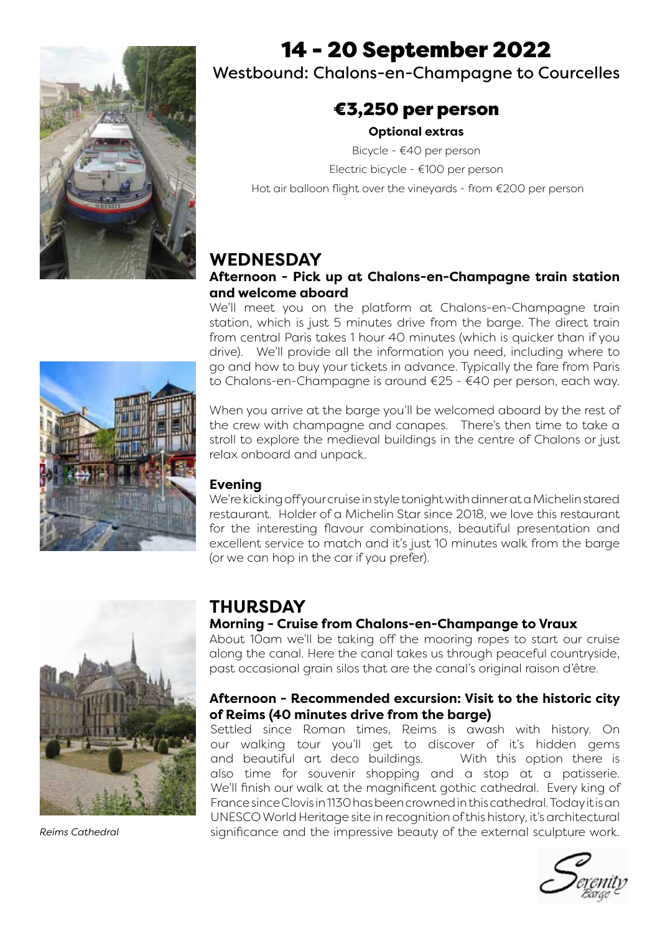

## 14 - 20 September 2022

Westbound: Chalons-en-Champagne to Courcelles

### €3,250 per person

#### **Optional extras**

Bicycle - €40 per person Electric bicycle - €100 per person Hot air balloon flight over the vineyards - from €200 per person

### **WEDNESDAY**

#### **Afternoon - Pick up at Chalons-en-Champagne train station and welcome aboard**

We'll meet you on the platform at Chalons-en-Champagne train station, which is just 5 minutes drive from the barge. The direct train from central Paris takes 1 hour 40 minutes (which is quicker than if you drive). We'll provide all the information you need, including where to go and how to buy your tickets in advance. Typically the fare from Paris to Chalons-en-Champagne is around €25 - €40 per person, each way.

When you arrive at the barge you'll be welcomed aboard by the rest of the crew with champagne and canapes. There's then time to take a stroll to explore the medieval buildings in the centre of Chalons or just relax onboard and unpack.

#### **Evening**

We're kicking off your cruise in style tonight with dinner at a Michelin stared restaurant. Holder of a Michelin Star since 2018, we love this restaurant for the interesting flavour combinations, beautiful presentation and excellent service to match and it's just 10 minutes walk from the barge (or we can hop in the car if you prefer).



*Reims Cathedral*

## **THURSDAY**

#### **Morning - Cruise from Chalons-en-Champange to Vraux**

About 10am we'll be taking off the mooring ropes to start our cruise along the canal. Here the canal takes us through peaceful countryside, past occasional grain silos that are the canal's original raison d'être.

#### **Afternoon - Recommended excursion: Visit to the historic city of Reims (40 minutes drive from the barge)**

Settled since Roman times, Reims is awash with history. On our walking tour you'll get to discover of it's hidden gems and beautiful art deco buildings. With this option there is also time for souvenir shopping and a stop at a patisserie. We'll finish our walk at the magnificent gothic cathedral. Every king of France since Clovis in 1130 has been crowned in this cathedral. Today it is an UNESCO World Heritage site in recognition of this history, it's architectural significance and the impressive beauty of the external sculpture work.



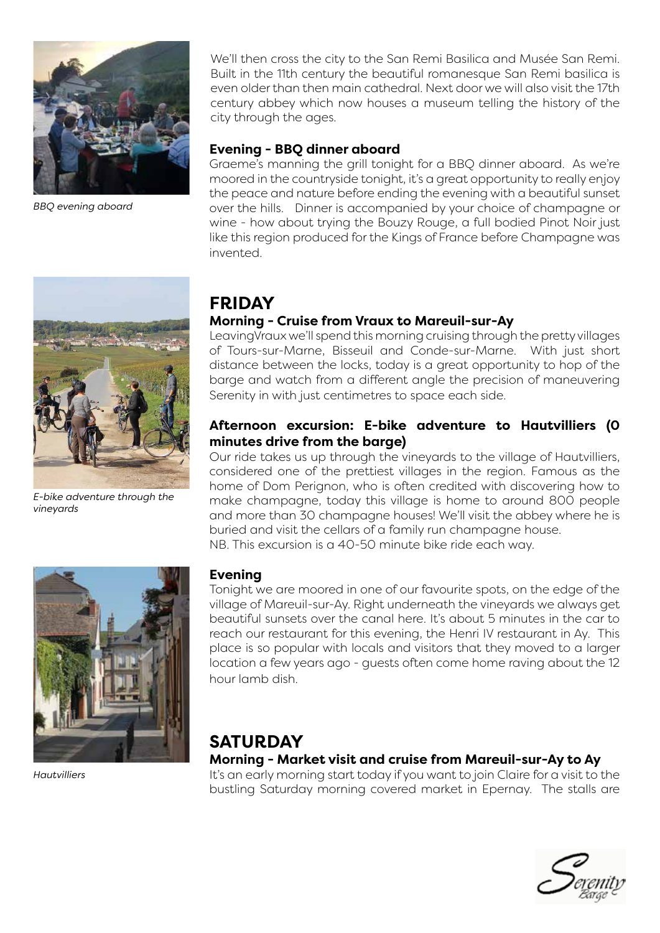

*BBQ evening aboard*

We'll then cross the city to the San Remi Basilica and Musée San Remi. Built in the 11th century the beautiful romanesque San Remi basilica is even older than then main cathedral. Next door we will also visit the 17th century abbey which now houses a museum telling the history of the city through the ages.

#### **Evening - BBQ dinner aboard**

Graeme's manning the grill tonight for a BBQ dinner aboard. As we're moored in the countryside tonight, it's a great opportunity to really enjoy the peace and nature before ending the evening with a beautiful sunset over the hills. Dinner is accompanied by your choice of champagne or wine - how about trying the Bouzy Rouge, a full bodied Pinot Noir just like this region produced for the Kings of France before Champagne was invented.



*E-bike adventure through the vineyards*

## **FRIDAY**

#### **Morning - Cruise from Vraux to Mareuil-sur-Ay**

LeavingVraux we'll spend this morning cruising through the pretty villages of Tours-sur-Marne, Bisseuil and Conde-sur-Marne. With just short distance between the locks, today is a great opportunity to hop of the barge and watch from a different angle the precision of maneuvering Serenity in with just centimetres to space each side.

#### **Afternoon excursion: E-bike adventure to Hautvilliers (0 minutes drive from the barge)**

Our ride takes us up through the vineyards to the village of Hautvilliers, considered one of the prettiest villages in the region. Famous as the home of Dom Perignon, who is often credited with discovering how to make champagne, today this village is home to around 800 people and more than 30 champagne houses! We'll visit the abbey where he is buried and visit the cellars of a family run champagne house. NB. This excursion is a 40-50 minute bike ride each way.



*Hautvilliers*

#### **Evening**

Tonight we are moored in one of our favourite spots, on the edge of the village of Mareuil-sur-Ay. Right underneath the vineyards we always get beautiful sunsets over the canal here. It's about 5 minutes in the car to reach our restaurant for this evening, the Henri IV restaurant in Ay. This place is so popular with locals and visitors that they moved to a larger location a few years ago - guests often come home raving about the 12 hour lamb dish.

### **SATURDAY**

**Morning - Market visit and cruise from Mareuil-sur-Ay to Ay**

It's an early morning start today if you want to join Claire for a visit to the bustling Saturday morning covered market in Epernay. The stalls are

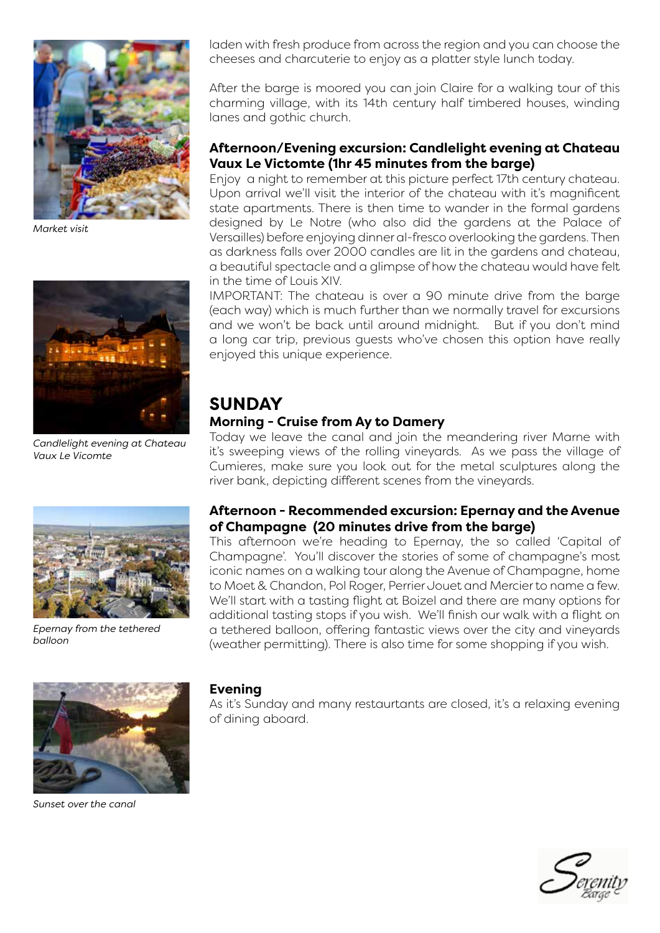

*Market visit*



*Candlelight evening at Chateau Vaux Le Vicomte*



*Epernay from the tethered balloon*



*Sunset over the canal*

laden with fresh produce from across the region and you can choose the cheeses and charcuterie to enjoy as a platter style lunch today.

After the barge is moored you can join Claire for a walking tour of this charming village, with its 14th century half timbered houses, winding lanes and gothic church.

#### **Afternoon/Evening excursion: Candlelight evening at Chateau Vaux Le Victomte (1hr 45 minutes from the barge)**

Enjoy a night to remember at this picture perfect 17th century chateau. Upon arrival we'll visit the interior of the chateau with it's magnificent state apartments. There is then time to wander in the formal gardens designed by Le Notre (who also did the gardens at the Palace of Versailles) before enjoying dinner al-fresco overlooking the gardens. Then as darkness falls over 2000 candles are lit in the gardens and chateau, a beautiful spectacle and a glimpse of how the chateau would have felt in the time of Louis XIV.

IMPORTANT: The chateau is over a 90 minute drive from the barge (each way) which is much further than we normally travel for excursions and we won't be back until around midnight. But if you don't mind a long car trip, previous guests who've chosen this option have really enjoyed this unique experience.

# **SUNDAY**

### **Morning - Cruise from Ay to Damery**

Today we leave the canal and join the meandering river Marne with it's sweeping views of the rolling vineyards. As we pass the village of Cumieres, make sure you look out for the metal sculptures along the river bank, depicting different scenes from the vineyards.

#### **Afternoon - Recommended excursion: Epernay and the Avenue of Champagne (20 minutes drive from the barge)**

This afternoon we're heading to Epernay, the so called 'Capital of Champagne'. You'll discover the stories of some of champagne's most iconic names on a walking tour along the Avenue of Champagne, home to Moet & Chandon, Pol Roger, Perrier Jouet and Mercier to name a few. We'll start with a tasting flight at Boizel and there are many options for additional tasting stops if you wish. We'll finish our walk with a flight on a tethered balloon, offering fantastic views over the city and vineyards (weather permitting). There is also time for some shopping if you wish.

#### **Evening**

As it's Sunday and many restaurtants are closed, it's a relaxing evening of dining aboard.